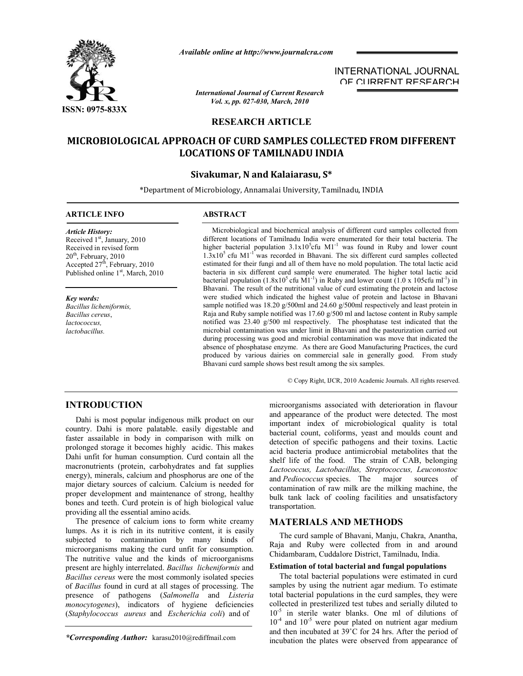

*Available online at http://www.journalcra.com*

*International Journal of Current Research Vol. x, pp. 027-030, March, 2010*

# INTERNATIONAL JOURNAL OF CURRENT RESEARCH

# **RESEARCH ARTICLE**

# **MICROBIOLOGICAL APPROACH OF CURD SAMPLES COLLECTED FROM DIFFERENT LOCATIONS OF TAMILNADU INDIA**

# **Sivakumar, N and Kalaiarasu, S\***

\*Department of Microbiology, Annamalai University, Tamilnadu, INDIA

### **ARTICLE INFO ABSTRACT**

*Article History:* Received 1<sup>st</sup>, January, 2010 Received in revised form  $20<sup>th</sup>$ , February, 2010 Accepted  $27<sup>th</sup>$ , February, 2010 Published online 1<sup>st</sup>, March, 2010

*Key words:* *Bacillus licheniformis, Bacillus cereus*, *lactococcus, lactobacillus.*

 Microbiological and biochemical analysis of different curd samples collected from different locations of Tamilnadu India were enumerated for their total bacteria. The higher bacterial population  $3.1x10^5$ cfu M1<sup>-1</sup> was found in Ruby and lower count  $1.3x10<sup>5</sup>$  cfu M1<sup>-1</sup> was recorded in Bhavani. The six different curd samples collected estimated for their fungi and all of them have no mold population. The total lactic acid bacteria in six different curd sample were enumerated. The higher total lactic acid bacterial population  $(1.8x10^5 \text{ cftu} \text{ M}1^{-1})$  in Ruby and lower count  $(1.0 \text{ x } 105 \text{ cftu} \text{ m}1^{-1})$  in Bhavani. The result of the nutritional value of curd estimating the protein and lactose were studied which indicated the highest value of protein and lactose in Bhavani sample notified was 18.20 g/500ml and 24.60 g/500ml respectively and least protein in Raja and Ruby sample notified was 17.60 g/500 ml and lactose content in Ruby sample notified was 23.40 g/500 ml respectively. The phosphatase test indicated that the microbial contamination was under limit in Bhavani and the pasteurization carried out during processing was good and microbial contamination was move that indicated the absence of phosphatase enzyme. As there are Good Manufacturing Practices, the curd produced by various dairies on commercial sale in generally good. From study Bhavani curd sample shows best result among the six samples.

© Copy Right, IJCR, 2010 Academic Journals. All rights reserved.

# **INTRODUCTION**

 Dahi is most popular indigenous milk product on our country. Dahi is more palatable. easily digestable and faster assailable in body in comparison with milk on prolonged storage it becomes highly acidic. This makes Dahi unfit for human consumption. Curd contain all the macronutrients (protein, carbohydrates and fat supplies energy), minerals, calcium and phosphorus are one of the major dietary sources of calcium. Calcium is needed for proper development and maintenance of strong, healthy bones and teeth. Curd protein is of high biological value providing all the essential amino acids.

 The presence of calcium ions to form white creamy lumps. As it is rich in its nutritive content, it is easily subjected to contamination by many kinds of microorganisms making the curd unfit for consumption. The nutritive value and the kinds of microorganisms present are highly interrelated. *Bacillus licheniformis* and *Bacillus cereus* were the most commonly isolated species of *Bacillus* found in curd at all stages of processing. The presence of pathogens (*Salmonella* and *Listeria monocytogenes*), indicators of hygiene deficiencies (*Staphylococcus aureus* and *Escherichia coli*) and of

*\*Corresponding Author:* karasu2010@rediffmail.com

microorganisms associated with deterioration in flavour and appearance of the product were detected. The most important index of microbiological quality is total bacterial count, coliforms, yeast and moulds count and detection of specific pathogens and their toxins. Lactic acid bacteria produce antimicrobial metabolites that the shelf life of the food. The strain of CAB, belonging *Lactococcus, Lactobacillus, Streptococcus, Leuconostoc* and *Pediococcus* species. The major sources of contamination of raw milk are the milking machine, the bulk tank lack of cooling facilities and unsatisfactory transportation.

# **MATERIALS AND METHODS**

 The curd sample of Bhavani, Manju, Chakra, Anantha, Raja and Ruby were collected from in and around Chidambaram, Cuddalore District, Tamilnadu, India.

#### **Estimation of total bacterial and fungal populations**

 The total bacterial populations were estimated in curd samples by using the nutrient agar medium. To estimate total bacterial populations in the curd samples, they were collected in presterilized test tubes and serially diluted to 10<sup>-5</sup> in sterile water blanks. One ml of dilutions of  $10^{-4}$  and  $10^{-5}$  were pour plated on nutrient agar medium and then incubated at 39˚C for 24 hrs. After the period of incubation the plates were observed from appearance of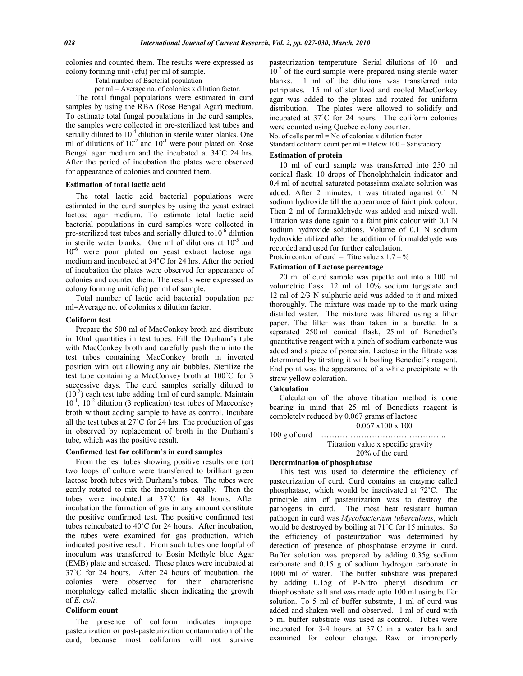colonies and counted them. The results were expressed as colony forming unit (cfu) per ml of sample.

Total number of Bacterial population

per ml = Average no. of colonies x dilution factor.

 The total fungal populations were estimated in curd samples by using the RBA (Rose Bengal Agar) medium. To estimate total fungal populations in the curd samples, the samples were collected in pre-sterilized test tubes and serially diluted to  $10<sup>-4</sup>$  dilution in sterile water blanks. One ml of dilutions of  $10^{-2}$  and  $10^{-1}$  were pour plated on Rose Bengal agar medium and the incubated at 34˚C 24 hrs. After the period of incubation the plates were observed for appearance of colonies and counted them.

#### **Estimation of total lactic acid**

 The total lactic acid bacterial populations were estimated in the curd samples by using the yeast extract lactose agar medium. To estimate total lactic acid bacterial populations in curd samples were collected in pre-sterilized test tubes and serially diluted to10<sup>-6</sup> dilution in sterile water blanks. One ml of dilutions at  $10^{-5}$  and 10<sup>-6</sup> were pour plated on yeast extract lactose agar medium and incubated at 34˚C for 24 hrs. After the period of incubation the plates were observed for appearance of colonies and counted them. The results were expressed as colony forming unit (cfu) per ml of sample.

 Total number of lactic acid bacterial population per ml=Average no. of colonies x dilution factor.

#### **Coliform test**

 Prepare the 500 ml of MacConkey broth and distribute in 10ml quantities in test tubes. Fill the Durham's tube with MacConkey broth and carefully push them into the test tubes containing MacConkey broth in inverted position with out allowing any air bubbles. Sterilize the test tube containing a MacConkey broth at 100˚C for 3 successive days. The curd samples serially diluted to  $(10<sup>-2</sup>)$  each test tube adding 1ml of curd sample. Maintain 10<sup>-1</sup>, 10<sup>-2</sup> dilution (3 replication) test tubes of Macconkey broth without adding sample to have as control. Incubate all the test tubes at 27˚C for 24 hrs. The production of gas in observed by replacement of broth in the Durham's tube, which was the positive result.

#### **Confirmed test for coliform's in curd samples**

 From the test tubes showing positive results one (or) two loops of culture were transferred to brilliant green lactose broth tubes with Durham's tubes. The tubes were gently rotated to mix the inoculums equally. Then the tubes were incubated at 37˚C for 48 hours. After incubation the formation of gas in any amount constitute the positive confirmed test. The positive confirmed test tubes reincubated to 40˚C for 24 hours. After incubation, the tubes were examined for gas production, which indicated positive result. From such tubes one loopful of inoculum was transferred to Eosin Methyle blue Agar (EMB) plate and streaked. These plates were incubated at 37˚C for 24 hours. After 24 hours of incubation, the colonies were observed for their characteristic morphology called metallic sheen indicating the growth of *E. coli*.

#### **Coliform count**

 The presence of coliform indicates improper pasteurization or post-pasteurization contamination of the curd, because most coliforms will not survive

pasteurization temperature. Serial dilutions of  $10^{-1}$  and  $10^{-2}$  of the curd sample were prepared using sterile water blanks. 1 ml of the dilutions was transferred into petriplates. 15 ml of sterilized and cooled MacConkey agar was added to the plates and rotated for uniform distribution. The plates were allowed to solidify and incubated at 37˚C for 24 hours. The coliform colonies were counted using Quebec colony counter. No. of cells per ml = No of colonies x dilution factor Standard coliform count per ml = Below 100 – Satisfactory

#### **Estimation of protein**

 10 ml of curd sample was transferred into 250 ml conical flask. 10 drops of Phenolphthalein indicator and 0.4 ml of neutral saturated potassium oxalate solution was added. After 2 minutes, it was titrated against 0.1 N sodium hydroxide till the appearance of faint pink colour. Then 2 ml of formaldehyde was added and mixed well. Titration was done again to a faint pink colour with 0.1 N sodium hydroxide solutions. Volume of 0.1 N sodium hydroxide utilized after the addition of formaldehyde was recorded and used for further calculation.

Protein content of curd = Titre value x  $1.7 = \%$ 

### **Estimation of Lactose percentage**

 20 ml of curd sample was pipette out into a 100 ml volumetric flask. 12 ml of 10% sodium tungstate and 12 ml of 2/3 N sulphuric acid was added to it and mixed thoroughly. The mixture was made up to the mark using distilled water. The mixture was filtered using a filter paper. The filter was than taken in a burette. In a separated 250 ml conical flask, 25 ml of Benedict's quantitative reagent with a pinch of sodium carbonate was added and a piece of porcelain. Lactose in the filtrate was determined by titrating it with boiling Benedict's reagent. End point was the appearance of a white precipitate with straw yellow coloration.

#### **Calculation**

 Calculation of the above titration method is done bearing in mind that 25 ml of Benedicts reagent is completely reduced by 0.067 grams of lactose 0.067 x100 x 100

100 g of curd = ……………………………………….. Titration value x specific gravity 20% of the curd

#### **Determination of phosphatase**

 This test was used to determine the efficiency of pasteurization of curd. Curd contains an enzyme called phosphatase, which would be inactivated at 72˚C. The principle aim of pasteurization was to destroy the pathogens in curd. The most heat resistant human pathogen in curd was *Mycobacterium tuberculosis*, which would be destroyed by boiling at 71˚C for 15 minutes. So the efficiency of pasteurization was determined by detection of presence of phosphatase enzyme in curd. Buffer solution was prepared by adding 0.35g sodium carbonate and 0.15 g of sodium hydrogen carbonate in 1000 ml of water. The buffer substrate was prepared by adding 0.15g of P-Nitro phenyl disodium or thiophosphate salt and was made upto 100 ml using buffer solution. To 5 ml of buffer substrate, 1 ml of curd was added and shaken well and observed. 1 ml of curd with 5 ml buffer substrate was used as control. Tubes were incubated for 3-4 hours at 37˚C in a water bath and examined for colour change. Raw or improperly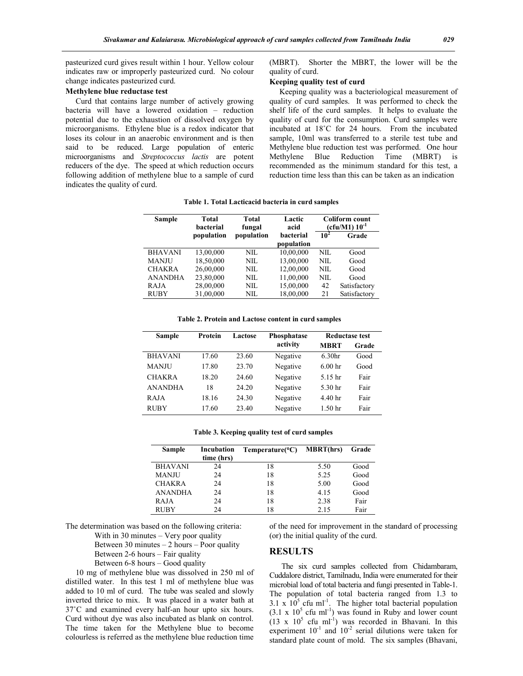pasteurized curd gives result within 1 hour. Yellow colour indicates raw or improperly pasteurized curd. No colour change indicates pasteurized curd.

#### **Methylene blue reductase test**

 Curd that contains large number of actively growing bacteria will have a lowered oxidation – reduction potential due to the exhaustion of dissolved oxygen by microorganisms. Ethylene blue is a redox indicator that loses its colour in an anaerobic environment and is then said to be reduced. Large population of enteric microorganisms and *Streptococcus lactis* are potent reducers of the dye. The speed at which reduction occurs following addition of methylene blue to a sample of curd indicates the quality of curd.

(MBRT). Shorter the MBRT, the lower will be the quality of curd.

#### **Keeping quality test of curd**

 Keeping quality was a bacteriological measurement of quality of curd samples. It was performed to check the shelf life of the curd samples. It helps to evaluate the quality of curd for the consumption. Curd samples were incubated at 18˚C for 24 hours. From the incubated sample, 10ml was transferred to a sterile test tube and Methylene blue reduction test was performed. One hour Methylene Blue Reduction Time (MBRT) is recommended as the minimum standard for this test, a reduction time less than this can be taken as an indication

#### **Table 1. Total Lacticacid bacteria in curd samples**

| Total<br><b>bacterial</b> | Total<br>fungal | Lactic<br>acid                 | Coliform count<br>$(cfu/M1) 10^{-1}$ |              |
|---------------------------|-----------------|--------------------------------|--------------------------------------|--------------|
| population                | population      | <b>bacterial</b><br>population | $10^2$                               | Grade        |
| 13.00.000                 | NIL.            | 10,00,000                      | NIL.                                 | Good         |
| 18,50,000                 | NIL.            | 13,00,000                      | NIL.                                 | Good         |
| 26,00,000                 | NIL.            | 12,00,000                      | NIL.                                 | Good         |
| 23,80,000                 | NIL.            | 11,00,000                      | NIL.                                 | Good         |
| 28,00,000                 | NIL.            | 15,00,000                      | 42                                   | Satisfactory |
| 31,00,000                 | NIL.            | 18,00,000                      | 21                                   | Satisfactory |
|                           |                 |                                |                                      |              |

#### **Table 2. Protein and Lactose content in curd samples**

| <b>Sample</b>  | Protein | Lactose | Phosphatase | Reductase test     |       |
|----------------|---------|---------|-------------|--------------------|-------|
|                |         |         | activity    | <b>MBRT</b>        | Grade |
| <b>BHAVANI</b> | 17.60   | 23.60   | Negative    | 6.30 <sub>hr</sub> | Good  |
| <b>MANJU</b>   | 17.80   | 23.70   | Negative    | 6.00 <sub>hr</sub> | Good  |
| <b>CHAKRA</b>  | 18.20   | 24.60   | Negative    | 5.15 hr            | Fair  |
| <b>ANANDHA</b> | 18      | 24.20   | Negative    | 5.30 hr            | Fair  |
| <b>RAJA</b>    | 18.16   | 24.30   | Negative    | 4.40 <sub>hr</sub> | Fair  |
| <b>RUBY</b>    | 17.60   | 23.40   | Negative    | 1.50 <sub>hr</sub> | Fair  |

|  | Table 3. Keeping quality test of curd samples |  |  |  |  |
|--|-----------------------------------------------|--|--|--|--|
|--|-----------------------------------------------|--|--|--|--|

| Sample         | Incubation | Temperature(C) | <b>MBRT(hrs)</b> | Grade |
|----------------|------------|----------------|------------------|-------|
|                | time (hrs) |                |                  |       |
| <b>BHAVANI</b> | 24         | 18             | 5.50             | Good  |
| <b>MANJU</b>   | 24         | 18             | 5.25             | Good  |
| <b>CHAKRA</b>  | 24         | 18             | 5.00             | Good  |
| <b>ANANDHA</b> | 24         | 18             | 4.15             | Good  |
| <b>RAJA</b>    | 24         | 18             | 2.38             | Fair  |
| <b>RUBY</b>    | 24         | 18             | 2.15             | Fair  |

The determination was based on the following criteria:

With in 30 minutes – Very poor quality

Between 30 minutes  $-2$  hours  $-$  Poor quality

Between 6-8 hours – Good quality

 10 mg of methylene blue was dissolved in 250 ml of distilled water. In this test 1 ml of methylene blue was added to 10 ml of curd. The tube was sealed and slowly inverted thrice to mix. It was placed in a water bath at 37˚C and examined every half-an hour upto six hours. Curd without dye was also incubated as blank on control. The time taken for the Methylene blue to become colourless is referred as the methylene blue reduction time

of the need for improvement in the standard of processing (or) the initial quality of the curd.

# **RESULTS**

 The six curd samples collected from Chidambaram, Cuddalore district, Tamilnadu, India were enumerated for their microbial load of total bacteria and fungi presented in Table-1. The population of total bacteria ranged from 1.3 to  $3.1 \times 10^5$  cfu ml<sup>-1</sup>. The higher total bacterial population  $(3.1 \times 10^5 \text{ cftu ml}^{-1})$  was found in Ruby and lower count  $(13 \times 10^5 \text{ cftu ml}^{-1})$  was recorded in Bhavani. In this experiment  $10^{-1}$  and  $10^{-2}$  serial dilutions were taken for standard plate count of mold. The six samples (Bhavani,

Between 2-6 hours – Fair quality